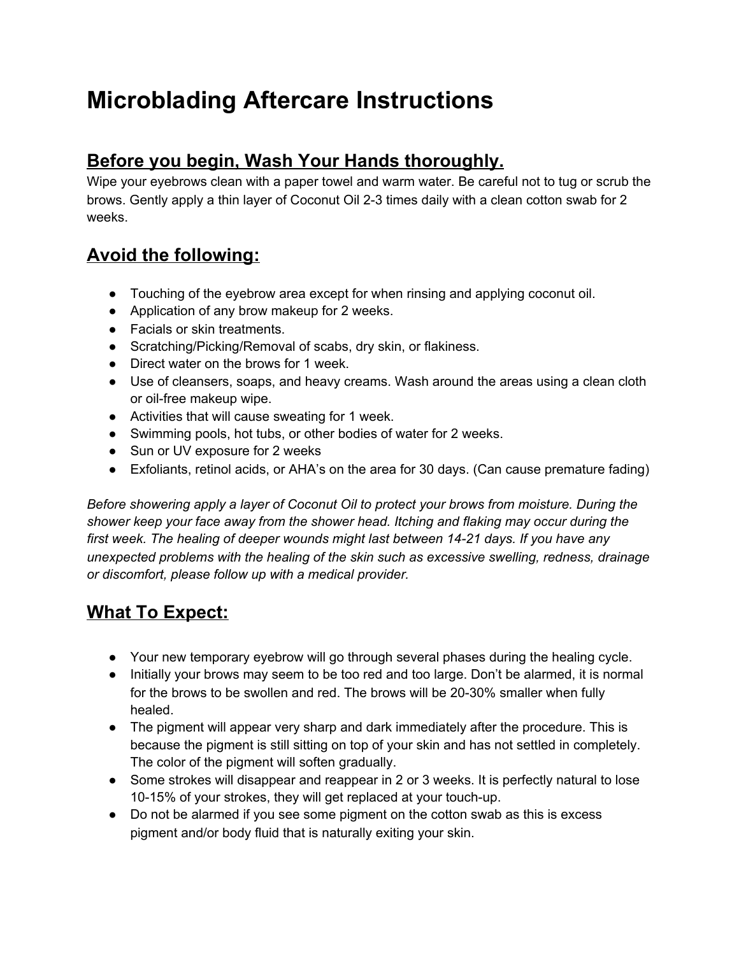## **Microblading Aftercare Instructions**

## **Before you begin, Wash Your Hands thoroughly.**

Wipe your eyebrows clean with a paper towel and warm water. Be careful not to tug or scrub the brows. Gently apply a thin layer of Coconut Oil 2-3 times daily with a clean cotton swab for 2 weeks.

## **Avoid the following:**

- Touching of the eyebrow area except for when rinsing and applying coconut oil.
- Application of any brow makeup for 2 weeks.
- Facials or skin treatments.
- Scratching/Picking/Removal of scabs, dry skin, or flakiness.
- Direct water on the brows for 1 week.
- Use of cleansers, soaps, and heavy creams. Wash around the areas using a clean cloth or oil-free makeup wipe.
- Activities that will cause sweating for 1 week.
- Swimming pools, hot tubs, or other bodies of water for 2 weeks.
- Sun or UV exposure for 2 weeks
- Exfoliants, retinol acids, or AHA's on the area for 30 days. (Can cause premature fading)

*Before showering apply a layer of Coconut Oil to protect your brows from moisture. During the shower keep your face away from the shower head. Itching and flaking may occur during the first week. The healing of deeper wounds might last between 14-21 days. If you have any unexpected problems with the healing of the skin such as excessive swelling, redness, drainage or discomfort, please follow up with a medical provider.*

## **What To Expect:**

- Your new temporary eyebrow will go through several phases during the healing cycle.
- Initially your brows may seem to be too red and too large. Don't be alarmed, it is normal for the brows to be swollen and red. The brows will be 20-30% smaller when fully healed.
- The pigment will appear very sharp and dark immediately after the procedure. This is because the pigment is still sitting on top of your skin and has not settled in completely. The color of the pigment will soften gradually.
- Some strokes will disappear and reappear in 2 or 3 weeks. It is perfectly natural to lose 10-15% of your strokes, they will get replaced at your touch-up.
- Do not be alarmed if you see some pigment on the cotton swab as this is excess pigment and/or body fluid that is naturally exiting your skin.